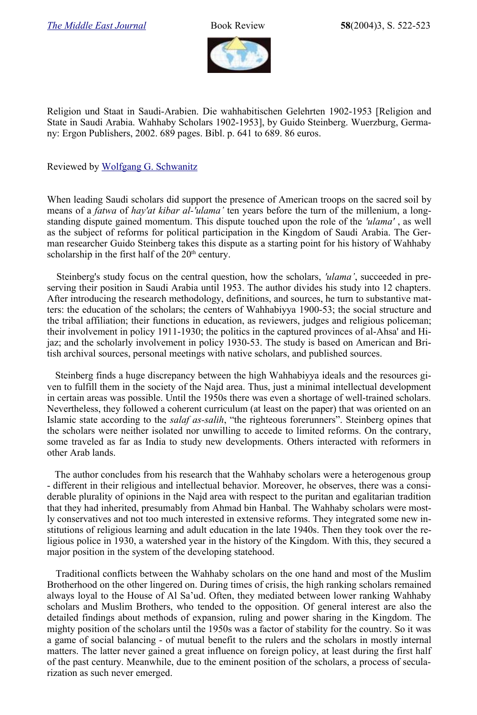

Religion und Staat in Saudi-Arabien. Die wahhabitischen Gelehrten 1902-1953 [Religion and State in Saudi Arabia. Wahhaby Scholars 1902-1953], by Guido Steinberg. Wuerzburg, Germany: Ergon Publishers, 2002. 689 pages. Bibl. p. 641 to 689. 86 euros.

Reviewed by [Wolfgang G. Schwanitz](http://www.trafoberlin.de/Autoren/schwanitz_wolfgang.htm)

When leading Saudi scholars did support the presence of American troops on the sacred soil by means of a *fatwa* of *hay'at kibar al-'ulama'* ten years before the turn of the millenium, a longstanding dispute gained momentum. This dispute touched upon the role of the *'ulama'* , as well as the subject of reforms for political participation in the Kingdom of Saudi Arabia. The German researcher Guido Steinberg takes this dispute as a starting point for his history of Wahhaby scholarship in the first half of the  $20<sup>th</sup>$  century.

Steinberg's study focus on the central question, how the scholars, *'ulama'*, succeeded in preserving their position in Saudi Arabia until 1953. The author divides his study into 12 chapters. After introducing the research methodology, definitions, and sources, he turn to substantive matters: the education of the scholars; the centers of Wahhabiyya 1900-53; the social structure and the tribal affiliation; their functions in education, as reviewers, judges and religious policeman; their involvement in policy 1911-1930; the politics in the captured provinces of al-Ahsa' and Hijaz; and the scholarly involvement in policy 1930-53. The study is based on American and British archival sources, personal meetings with native scholars, and published sources.

Steinberg finds a huge discrepancy between the high Wahhabiyya ideals and the resources given to fulfill them in the society of the Najd area. Thus, just a minimal intellectual development in certain areas was possible. Until the 1950s there was even a shortage of well-trained scholars. Nevertheless, they followed a coherent curriculum (at least on the paper) that was oriented on an Islamic state according to the *salaf as-salih*, "the righteous forerunners". Steinberg opines that the scholars were neither isolated nor unwilling to accede to limited reforms. On the contrary, some traveled as far as India to study new developments. Others interacted with reformers in other Arab lands.

The author concludes from his research that the Wahhaby scholars were a heterogenous group - different in their religious and intellectual behavior. Moreover, he observes, there was a considerable plurality of opinions in the Najd area with respect to the puritan and egalitarian tradition that they had inherited, presumably from Ahmad bin Hanbal. The Wahhaby scholars were mostly conservatives and not too much interested in extensive reforms. They integrated some new institutions of religious learning and adult education in the late 1940s. Then they took over the religious police in 1930, a watershed year in the history of the Kingdom. With this, they secured a major position in the system of the developing statehood.

Traditional conflicts between the Wahhaby scholars on the one hand and most of the Muslim Brotherhood on the other lingered on. During times of crisis, the high ranking scholars remained always loyal to the House of Al Sa'ud. Often, they mediated between lower ranking Wahhaby scholars and Muslim Brothers, who tended to the opposition. Of general interest are also the detailed findings about methods of expansion, ruling and power sharing in the Kingdom. The mighty position of the scholars until the 1950s was a factor of stability for the country. So it was a game of social balancing - of mutual benefit to the rulers and the scholars in mostly internal matters. The latter never gained a great influence on foreign policy, at least during the first half of the past century. Meanwhile, due to the eminent position of the scholars, a process of secularization as such never emerged.